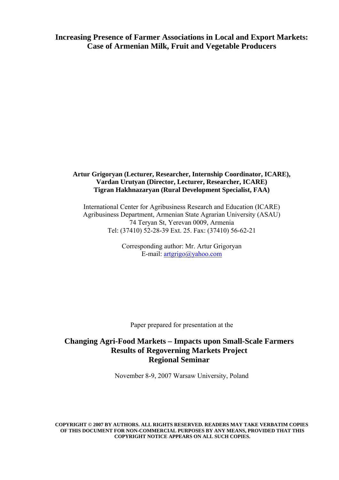**Increasing Presence of Farmer Associations in Local and Export Markets: Case of Armenian Milk, Fruit and Vegetable Producers** 

#### **Artur Grigoryan (Lecturer, Researcher, Internship Coordinator, ICARE), Vardan Urutyan (Director, Lecturer, Researcher, ICARE) Tigran Hakhnazaryan (Rural Development Specialist, FAA)**

International Center for Agribusiness Research and Education (ICARE) Agribusiness Department, Armenian State Agrarian University (ASAU) 74 Teryan St, Yerevan 0009, Armenia Tel: (37410) 52-28-39 Ext. 25. Fax: (37410) 56-62-21

> Corresponding author: Mr. Artur Grigoryan E-mail: artgrigo@yahoo.com

Paper prepared for presentation at the

## **Changing Agri-Food Markets – Impacts upon Small-Scale Farmers Results of Regoverning Markets Project Regional Seminar**

November 8-9, 2007 Warsaw University, Poland

**COPYRIGHT © 2007 BY AUTHORS. ALL RIGHTS RESERVED. READERS MAY TAKE VERBATIM COPIES OF THIS DOCUMENT FOR NON-COMMERCIAL PURPOSES BY ANY MEANS, PROVIDED THAT THIS COPYRIGHT NOTICE APPEARS ON ALL SUCH COPIES.**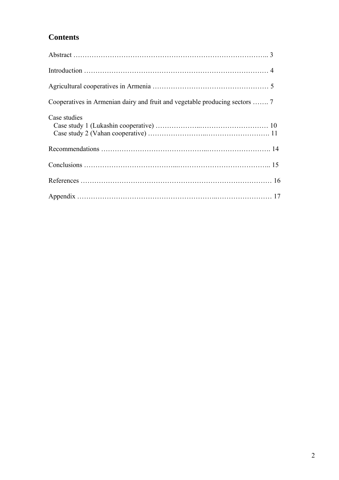# **Contents**

| Case studies |  |
|--------------|--|
|              |  |
|              |  |
|              |  |
|              |  |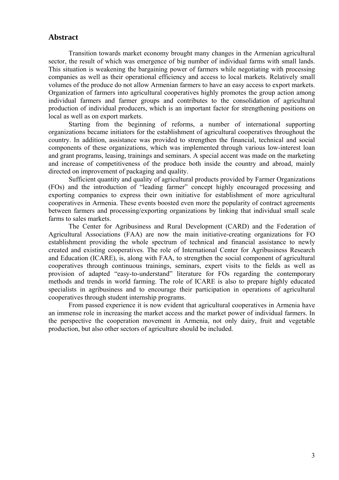## **Abstract**

 Transition towards market economy brought many changes in the Armenian agricultural sector, the result of which was emergence of big number of individual farms with small lands. This situation is weakening the bargaining power of farmers while negotiating with processing companies as well as their operational efficiency and access to local markets. Relatively small volumes of the produce do not allow Armenian farmers to have an easy access to export markets. Organization of farmers into agricultural cooperatives highly promotes the group action among individual farmers and farmer groups and contributes to the consolidation of agricultural production of individual producers, which is an important factor for strengthening positions on local as well as on export markets.

 Starting from the beginning of reforms, a number of international supporting organizations became initiators for the establishment of agricultural cooperatives throughout the country. In addition, assistance was provided to strengthen the financial, technical and social components of these organizations, which was implemented through various low-interest loan and grant programs, leasing, trainings and seminars. A special accent was made on the marketing and increase of competitiveness of the produce both inside the country and abroad, mainly directed on improvement of packaging and quality.

 Sufficient quantity and quality of agricultural products provided by Farmer Organizations (FOs) and the introduction of "leading farmer" concept highly encouraged processing and exporting companies to express their own initiative for establishment of more agricultural cooperatives in Armenia. These events boosted even more the popularity of contract agreements between farmers and processing/exporting organizations by linking that individual small scale farms to sales markets.

 The Center for Agribusiness and Rural Development (CARD) and the Federation of Agricultural Associations (FAA) are now the main initiative-creating organizations for FO establishment providing the whole spectrum of technical and financial assistance to newly created and existing cooperatives. The role of International Center for Agribusiness Research and Education (ICARE), is, along with FAA, to strengthen the social component of agricultural cooperatives through continuous trainings, seminars, expert visits to the fields as well as provision of adapted "easy-to-understand" literature for FOs regarding the contemporary methods and trends in world farming. The role of ICARE is also to prepare highly educated specialists in agribusiness and to encourage their participation in operations of agricultural cooperatives through student internship programs.

 From passed experience it is now evident that agricultural cooperatives in Armenia have an immense role in increasing the market access and the market power of individual farmers. In the perspective the cooperation movement in Armenia, not only dairy, fruit and vegetable production, but also other sectors of agriculture should be included.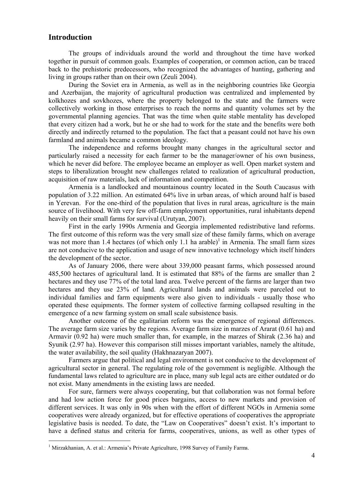## **Introduction**

 $\overline{a}$ 

The groups of individuals around the world and throughout the time have worked together in pursuit of common goals. Examples of cooperation, or common action, can be traced back to the prehistoric predecessors, who recognized the advantages of hunting, gathering and living in groups rather than on their own (Zeuli 2004).

 During the Soviet era in Armenia, as well as in the neighboring countries like Georgia and Azerbaijan, the majority of agricultural production was centralized and implemented by kolkhozes and sovkhozes, where the property belonged to the state and the farmers were collectively working in those enterprises to reach the norms and quantity volumes set by the governmental planning agencies. That was the time when quite stable mentality has developed that every citizen had a work, but he or she had to work for the state and the benefits were both directly and indirectly returned to the population. The fact that a peasant could not have his own farmland and animals became a common ideology.

 The independence and reforms brought many changes in the agricultural sector and particularly raised a necessity for each farmer to be the manager/owner of his own business, which he never did before. The employee became an employer as well. Open market system and steps to liberalization brought new challenges related to realization of agricultural production, acquisition of raw materials, lack of information and competition.

Armenia is a landlocked and mountainous country located in the South Caucasus with population of 3.22 million. An estimated 64% live in urban areas, of which around half is based in Yerevan. For the one-third of the population that lives in rural areas, agriculture is the main source of livelihood. With very few off-farm employment opportunities, rural inhabitants depend heavily on their small farms for survival (Urutyan, 2007).

First in the early 1990s Armenia and Georgia implemented redistributive land reforms. The first outcome of this reform was the very small size of these family farms, which on average was not more than 1.4 hectares (of which only 1.1 ha arable)<sup>1</sup> in Armenia. The small farm sizes are not conducive to the application and usage of new innovative technology which itself hinders the development of the sector.

As of January 2006, there were about 339,000 peasant farms, which possessed around 485,500 hectares of agricultural land. It is estimated that 88% of the farms are smaller than 2 hectares and they use 77% of the total land area. Twelve percent of the farms are larger than two hectares and they use 23% of land. Agricultural lands and animals were parceled out to individual families and farm equipments were also given to individuals - usually those who operated these equipments. The former system of collective farming collapsed resulting in the emergence of a new farming system on small scale subsistence basis.

Another outcome of the egalitarian reform was the emergence of regional differences. The average farm size varies by the regions. Average farm size in marzes of Ararat (0.61 ha) and Armavir (0.92 ha) were much smaller than, for example, in the marzes of Shirak (2.36 ha) and Syunik (2.97 ha). However this comparison still misses important variables, namely the altitude, the water availability, the soil quality (Hakhnazaryan 2007).

Farmers argue that political and legal environment is not conducive to the development of agricultural sector in general. The regulating role of the government is negligible. Although the fundamental laws related to agriculture are in place, many sub legal acts are either outdated or do not exist. Many amendments in the existing laws are needed.

For sure, farmers were always cooperating, but that collaboration was not formal before and had low action force for good prices bargains, access to new markets and provision of different services. It was only in 90s when with the effort of different NGOs in Armenia some cooperatives were already organized, but for effective operations of cooperatives the appropriate legislative basis is needed. To date, the "Law on Cooperatives" doesn't exist. It's important to have a defined status and criteria for farms, cooperatives, unions, as well as other types of

<sup>&</sup>lt;sup>1</sup> Mirzakhanian, A. et al.: Armenia's Private Agriculture, 1998 Survey of Family Farms.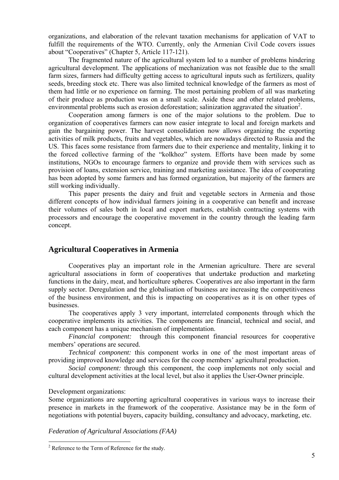organizations, and elaboration of the relevant taxation mechanisms for application of VAT to fulfill the requirements of the WTO. Currently, only the Armenian Civil Code covers issues about "Cooperatives" (Chapter 5, Article 117-121).

The fragmented nature of the agricultural system led to a number of problems hindering agricultural development. The applications of mechanization was not feasible due to the small farm sizes, farmers had difficulty getting access to agricultural inputs such as fertilizers, quality seeds, breeding stock etc. There was also limited technical knowledge of the farmers as most of them had little or no experience on farming. The most pertaining problem of all was marketing of their produce as production was on a small scale. Aside these and other related problems, environmental problems such as erosion deforestation; salinization aggravated the situation<sup>2</sup>.

Cooperation among farmers is one of the major solutions to the problem. Due to organization of cooperatives farmers can now easier integrate to local and foreign markets and gain the bargaining power. The harvest consolidation now allows organizing the exporting activities of milk products, fruits and vegetables, which are nowadays directed to Russia and the US. This faces some resistance from farmers due to their experience and mentality, linking it to the forced collective farming of the "kolkhoz" system. Efforts have been made by some institutions, NGOs to encourage farmers to organize and provide them with services such as provision of loans, extension service, training and marketing assistance. The idea of cooperating has been adopted by some farmers and has formed organization, but majority of the farmers are still working individually.

This paper presents the dairy and fruit and vegetable sectors in Armenia and those different concepts of how individual farmers joining in a cooperative can benefit and increase their volumes of sales both in local and export markets, establish contracting systems with processors and encourage the cooperative movement in the country through the leading farm concept.

## **Agricultural Cooperatives in Armenia**

Cooperatives play an important role in the Armenian agriculture. There are several agricultural associations in form of cooperatives that undertake production and marketing functions in the dairy, meat, and horticulture spheres. Cooperatives are also important in the farm supply sector. Deregulation and the globalisation of business are increasing the competitiveness of the business environment, and this is impacting on cooperatives as it is on other types of businesses.

The cooperatives apply 3 very important, interrelated components through which the cooperative implements its activities. The components are financial, technical and social, and each component has a unique mechanism of implementation.

*Financial component:* through this component financial resources for cooperative members' operations are secured.

*Technical component:* this component works in one of the most important areas of providing improved knowledge and services for the coop members' agricultural production.

*Social component:* through this component, the coop implements not only social and cultural development activities at the local level, but also it applies the User-Owner principle.

#### Development organizations:

 $\overline{a}$ 

Some organizations are supporting agricultural cooperatives in various ways to increase their presence in markets in the framework of the cooperative. Assistance may be in the form of negotiations with potential buyers, capacity building, consultancy and advocacy, marketing, etc.

*Federation of Agricultural Associations (FAA)* 

<sup>&</sup>lt;sup>2</sup> Reference to the Term of Reference for the study.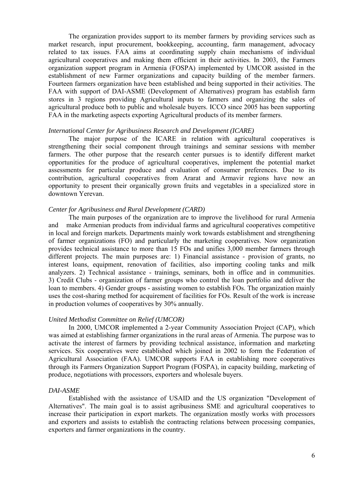The organization provides support to its member farmers by providing services such as market research, input procurement, bookkeeping, accounting, farm management, advocacy related to tax issues. FAA aims at coordinating supply chain mechanisms of individual agricultural cooperatives and making them efficient in their activities. In 2003, the Farmers organization support program in Armenia (FOSPA) implemented by UMCOR assisted in the establishment of new Farmer organizations and capacity building of the member farmers. Fourteen farmers organization have been established and being supported in their activities. The FAA with support of DAI-ASME (Development of Alternatives) program has establish farm stores in 3 regions providing Agricultural inputs to farmers and organizing the sales of agricultural produce both to public and wholesale buyers. ICCO since 2005 has been supporting FAA in the marketing aspects exporting Agricultural products of its member farmers.

#### *International Center for Agribusiness Research and Development (ICARE)*

The major purpose of the ICARE in relation with agricultural cooperatives is strengthening their social component through trainings and seminar sessions with member farmers. The other purpose that the research center pursues is to identify different market opportunities for the produce of agricultural cooperatives, implement the potential market assessments for particular produce and evaluation of consumer preferences. Due to its contribution, agricultural cooperatives from Ararat and Armavir regions have now an opportunity to present their organically grown fruits and vegetables in a specialized store in downtown Yerevan.

#### *Center for Agribusiness and Rural Development (CARD)*

The main purposes of the organization are to improve the livelihood for rural Armenia and make Armenian products from individual farms and agricultural cooperatives competitive in local and foreign markets. Departments mainly work towards establishment and strengthening of farmer organizations (FO) and particularly the marketing cooperatives. Now organization provides technical assistance to more than 15 FOs and unifies 3,000 member farmers through different projects. The main purposes are: 1) Financial assistance - provision of grants, no interest loans, equipment, renovation of facilities, also importing cooling tanks and milk analyzers. 2) Technical assistance - trainings, seminars, both in office and in communities. 3) Credit Clubs - organization of farmer groups who control the loan portfolio and deliver the loan to members. 4) Gender groups - assisting women to establish FOs. The organization mainly uses the cost-sharing method for acquirement of facilities for FOs. Result of the work is increase in production volumes of cooperatives by 30% annually.

#### *United Methodist Committee on Relief (UMCOR)*

In 2000, UMCOR implemented a 2-year Community Association Project (CAP), which was aimed at establishing farmer organizations in the rural areas of Armenia. The purpose was to activate the interest of farmers by providing technical assistance, information and marketing services. Six cooperatives were established which joined in 2002 to form the Federation of Agricultural Association (FAA). UMCOR supports FAA in establishing more cooperatives through its Farmers Organization Support Program (FOSPA), in capacity building, marketing of produce, negotiations with processors, exporters and wholesale buyers.

#### *DAI-ASME*

Established with the assistance of USAID and the US organization "Development of Alternatives". The main goal is to assist agribusiness SME and agricultural cooperatives to increase their participation in export markets. The organization mostly works with processors and exporters and assists to establish the contracting relations between processing companies, exporters and farmer organizations in the country.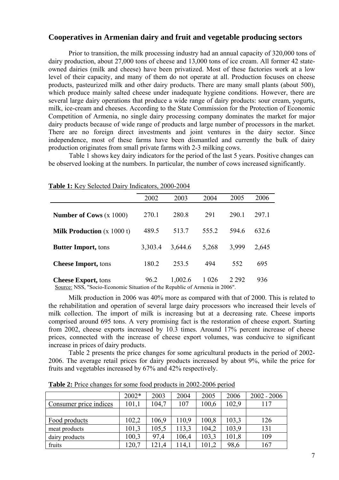## **Cooperatives in Armenian dairy and fruit and vegetable producing sectors**

Prior to transition, the milk processing industry had an annual capacity of 320,000 tons of dairy production, about 27,000 tons of cheese and 13,000 tons of ice cream. All former 42 stateowned dairies (milk and cheese) have been privatized. Most of these factories work at a low level of their capacity, and many of them do not operate at all. Production focuses on cheese products, pasteurized milk and other dairy products. There are many small plants (about 500), which produce mainly salted cheese under inadequate hygiene conditions. However, there are several large dairy operations that produce a wide range of dairy products: sour cream, yogurts, milk, ice-cream and cheeses. According to the State Commission for the Protection of Economic Competition of Armenia, no single dairy processing company dominates the market for major dairy products because of wide range of products and large number of processors in the market. There are no foreign direct investments and joint ventures in the dairy sector. Since independence, most of these farms have been dismantled and currently the bulk of dairy production originates from small private farms with 2-3 milking cows.

Table 1 shows key dairy indicators for the period of the last 5 years. Positive changes can be observed looking at the numbers. In particular, the number of cows increased significantly.

|                                                                             | 2002    | 2003    | 2004    | 2005    | 2006  |
|-----------------------------------------------------------------------------|---------|---------|---------|---------|-------|
|                                                                             |         |         |         |         |       |
| <b>Number of Cows</b> $(x 1000)$                                            | 270.1   | 280.8   | 291     | 290.1   | 297.1 |
|                                                                             |         |         |         |         |       |
| <b>Milk Production</b> $(x 1000 t)$                                         | 489.5   | 513.7   | 555.2   | 594.6   | 632.6 |
|                                                                             |         |         |         |         |       |
| <b>Butter Import, tons</b>                                                  | 3,303.4 | 3,644.6 | 5,268   | 3,999   | 2,645 |
|                                                                             |         |         |         |         |       |
| <b>Cheese Import, tons</b>                                                  | 180.2   | 253.5   | 494     | 552     | 695   |
|                                                                             |         |         |         |         |       |
| <b>Cheese Export, tons</b>                                                  | 96.2    | 1,002.6 | 1 0 2 6 | 2 2 9 2 | 936   |
| Source: NSS, "Socio-Economic Situation of the Republic of Armenia in 2006". |         |         |         |         |       |

**Table 1:** Key Selected Dairy Indicators, 2000-2004

Milk production in 2006 was 40% more as compared with that of 2000. This is related to the rehabilitation and operation of several large dairy processors who increased their levels of milk collection. The import of milk is increasing but at a decreasing rate. Cheese imports comprised around 695 tons. A very promising fact is the restoration of cheese export. Starting from 2002, cheese exports increased by 10.3 times. Around 17% percent increase of cheese prices, connected with the increase of cheese export volumes, was conducive to significant increase in prices of dairy products.

Table 2 presents the price changes for some agricultural products in the period of 2002- 2006. The average retail prices for dairy products increased by about 9%, while the price for fruits and vegetables increased by 67% and 42% respectively.

|                        | 2002* | 2003  | 2004  | 2005  | 2006  | $2002 - 2006$ |
|------------------------|-------|-------|-------|-------|-------|---------------|
| Consumer price indices | 101,1 | 104,7 | 107   | 100,6 | 102,9 | 117           |
|                        |       |       |       |       |       |               |
| Food products          | 102,2 | 106,9 | 110,9 | 100,8 | 103,3 | 126           |
| meat products          | 101,3 | 105,5 | 113,3 | 104,2 | 103,9 | 131           |
| dairy products         | 100,3 | 97.4  | 106,4 | 103,3 | 101,8 | 109           |
| fruits                 | 120,7 | 121.4 | 114.1 | 101,2 | 98,6  | 167           |

**Table 2:** Price changes for some food products in 2002-2006 period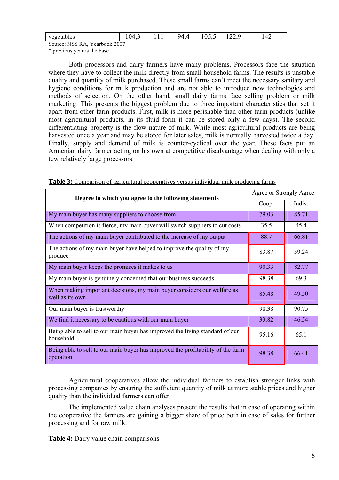| vegetables<br>adie.                                | -<br>$\overline{\phantom{a}}$<br>ıд<br>$\mathbf v$<br>.<br><b>.</b> | . . | -<br>Ч4<br>. .<br>. . | $-$<br>$\sim$<br>- 14<br>$\upsilon\ldots$ | $\sim$<br>$\overline{a}$ | $\sqrt{2}$<br>┱∠ |  |
|----------------------------------------------------|---------------------------------------------------------------------|-----|-----------------------|-------------------------------------------|--------------------------|------------------|--|
| $V = 1 - 1$ $\Lambda$<br>$C_1, \ldots, N$ MOC<br>. |                                                                     |     |                       |                                           |                          |                  |  |

Source: NSS RA, Yearbook 2007

\* previous year is the base

Both processors and dairy farmers have many problems. Processors face the situation where they have to collect the milk directly from small household farms. The results is unstable quality and quantity of milk purchased. These small farms can't meet the necessary sanitary and hygiene conditions for milk production and are not able to introduce new technologies and methods of selection. On the other hand, small dairy farms face selling problem or milk marketing. This presents the biggest problem due to three important characteristics that set it apart from other farm products. First, milk is more perishable than other farm products (unlike most agricultural products, in its fluid form it can be stored only a few days). The second differentiating property is the flow nature of milk. While most agricultural products are being harvested once a year and may be stored for later sales, milk is normally harvested twice a day. Finally, supply and demand of milk is counter-cyclical over the year. These facts put an Armenian dairy farmer acting on his own at competitive disadvantage when dealing with only a few relatively large processors.

| Degree to which you agree to the following statements                                        |       | Agree or Strongly Agree |  |  |
|----------------------------------------------------------------------------------------------|-------|-------------------------|--|--|
|                                                                                              | Coop. | Indiv.                  |  |  |
| My main buyer has many suppliers to choose from                                              | 79.03 | 85.71                   |  |  |
| When competition is fierce, my main buyer will switch suppliers to cut costs                 | 35.5  | 45.4                    |  |  |
| The actions of my main buyer contributed to the increase of my output                        | 88.7  | 66.81                   |  |  |
| The actions of my main buyer have helped to improve the quality of my<br>produce             | 83.87 | 59.24                   |  |  |
| My main buyer keeps the promises it makes to us                                              | 90.33 | 82.77                   |  |  |
| My main buyer is genuinely concerned that our business succeeds                              | 98.38 | 69.3                    |  |  |
| When making important decisions, my main buyer considers our welfare as<br>well as its own   | 85.48 | 49.50                   |  |  |
| Our main buyer is trustworthy                                                                | 98.38 | 90.75                   |  |  |
| We find it necessary to be cautious with our main buyer                                      | 33.82 | 46.54                   |  |  |
| Being able to sell to our main buyer has improved the living standard of our<br>household    | 95.16 | 65.1                    |  |  |
| Being able to sell to our main buyer has improved the profitability of the farm<br>operation | 98.38 | 66.41                   |  |  |

**Table 3:** Comparison of agricultural cooperatives versus individual milk producing farms

Agricultural cooperatives allow the individual farmers to establish stronger links with processing companies by ensuring the sufficient quantity of milk at more stable prices and higher quality than the individual farmers can offer.

The implemented value chain analyses present the results that in case of operating within the cooperative the farmers are gaining a bigger share of price both in case of sales for further processing and for raw milk.

**Table 4:** Dairy value chain comparisons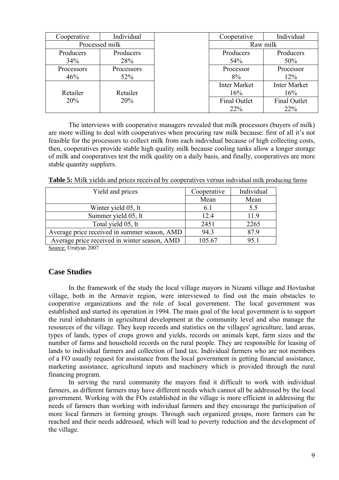| Cooperative | Individual     | Cooperative         | Individual          |  |
|-------------|----------------|---------------------|---------------------|--|
|             | Processed milk | Raw milk            |                     |  |
| Producers   | Producers      | Producers           | Producers           |  |
| 34%         | 28%            | 54%                 | 50%                 |  |
| Processors  | Processors     | Processor           | Processor           |  |
| 46%         | 52%            | 8%                  | 12%                 |  |
|             |                | <b>Inter Market</b> | <b>Inter Market</b> |  |
| Retailer    | Retailer       | 16%                 | 16%                 |  |
| 20%         | 20%            | <b>Final Outlet</b> | <b>Final Outlet</b> |  |
|             |                | 22%                 | 22%                 |  |

The interviews with cooperative managers revealed that milk processors (buyers of milk) are more willing to deal with cooperatives when procuring raw milk because: first of all it's not feasible for the processors to collect milk from each individual because of high collecting costs, then, cooperatives provide stable high quality milk because cooling tanks allow a longer storage of milk and cooperatives test the milk quality on a daily basis, and finally, cooperatives are more stable quantity suppliers.

**Table 5:** Milk yields and prices received by cooperatives versus individual milk producing farms

| Yield and prices                             | Cooperative | Individual |
|----------------------------------------------|-------------|------------|
|                                              | Mean        | Mean       |
| Winter yield 05, lt                          | 6.1         | 5.5        |
| Summer yield 05, lt                          | 12.4        | 11.9       |
| Total yield 05, lt                           | 2451        | 2265       |
| Average price received in summer season, AMD | 94.3        | 87.9       |
| Average price received in winter season, AMD | 105.67      | 95.1       |
| $\alpha_{\text{meas}}$ , Hartrey $2007$      |             |            |

Source: Urutyan 2007

## **Case Studies**

In the framework of the study the local village mayors in Nizami village and Hovtashat village, both in the Armavir region, were interviewed to find out the main obstacles to cooperative organizations and the role of local government. The local government was established and started its operation in 1994. The main goal of the local government is to support the rural inhabitants in agricultural development at the community level and also manage the resources of the village. They keep records and statistics on the villages' agriculture, land areas, types of lands, types of crops grown and yields, records on animals kept, farm sizes and the number of farms and household records on the rural people. They are responsible for leasing of lands to individual farmers and collection of land tax. Individual farmers who are not members of a FO usually request for assistance from the local government in getting financial assistance, marketing assistance, agricultural inputs and machinery which is provided through the rural financing program.

In serving the rural community the mayors find it difficult to work with individual farmers, as different farmers may have different needs which cannot all be addressed by the local government. Working with the FOs established in the village is more efficient in addressing the needs of farmers than working with individual farmers and they encourage the participation of more local farmers in forming groups. Through such organized groups, more farmers can be reached and their needs addressed, which will lead to poverty reduction and the development of the village.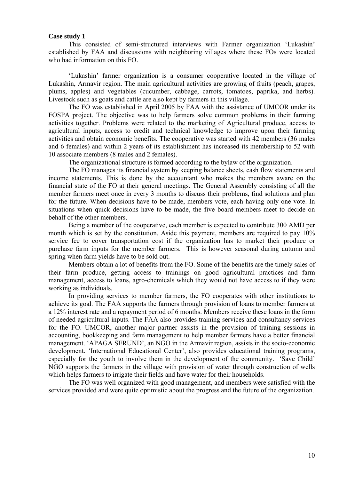#### **Case study 1**

This consisted of semi-structured interviews with Farmer organization 'Lukashin' established by FAA and discussions with neighboring villages where these FOs were located who had information on this FO.

'Lukashin' farmer organization is a consumer cooperative located in the village of Lukashin, Armavir region. The main agricultural activities are growing of fruits (peach, grapes, plums, apples) and vegetables (cucumber, cabbage, carrots, tomatoes, paprika, and herbs). Livestock such as goats and cattle are also kept by farmers in this village.

The FO was established in April 2005 by FAA with the assistance of UMCOR under its FOSPA project. The objective was to help farmers solve common problems in their farming activities together. Problems were related to the marketing of Agricultural produce, access to agricultural inputs, access to credit and technical knowledge to improve upon their farming activities and obtain economic benefits. The cooperative was started with 42 members (36 males and 6 females) and within 2 years of its establishment has increased its membership to 52 with 10 associate members (8 males and 2 females).

The organizational structure is formed according to the bylaw of the organization.

The FO manages its financial system by keeping balance sheets, cash flow statements and income statements. This is done by the accountant who makes the members aware on the financial state of the FO at their general meetings. The General Assembly consisting of all the member farmers meet once in every 3 months to discuss their problems, find solutions and plan for the future. When decisions have to be made, members vote, each having only one vote. In situations when quick decisions have to be made, the five board members meet to decide on behalf of the other members.

Being a member of the cooperative, each member is expected to contribute 300 AMD per month which is set by the constitution. Aside this payment, members are required to pay 10% service fee to cover transportation cost if the organization has to market their produce or purchase farm inputs for the member farmers. This is however seasonal during autumn and spring when farm yields have to be sold out.

Members obtain a lot of benefits from the FO. Some of the benefits are the timely sales of their farm produce, getting access to trainings on good agricultural practices and farm management, access to loans, agro-chemicals which they would not have access to if they were working as individuals.

In providing services to member farmers, the FO cooperates with other institutions to achieve its goal. The FAA supports the farmers through provision of loans to member farmers at a 12% interest rate and a repayment period of 6 months. Members receive these loans in the form of needed agricultural inputs. The FAA also provides training services and consultancy services for the FO. UMCOR, another major partner assists in the provision of training sessions in accounting, bookkeeping and farm management to help member farmers have a better financial management. 'APAGA SERUND', an NGO in the Armavir region, assists in the socio-economic development. 'International Educational Center', also provides educational training programs, especially for the youth to involve them in the development of the community. 'Save Child' NGO supports the farmers in the village with provision of water through construction of wells which helps farmers to irrigate their fields and have water for their households.

The FO was well organized with good management, and members were satisfied with the services provided and were quite optimistic about the progress and the future of the organization.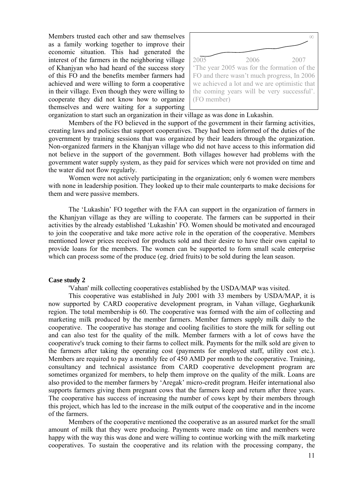Members trusted each other and saw themselves as a family working together to improve their economic situation. This had generated the interest of the farmers in the neighboring village of Khanjyan who had heard of the success story of this FO and the benefits member farmers had achieved and were willing to form a cooperative in their village. Even though they were willing to cooperate they did not know how to organize themselves and were waiting for a supporting



organization to start such an organization in their village as was done in Lukashin.

Members of the FO believed in the support of the government in their farming activities, creating laws and policies that support cooperatives. They had been informed of the duties of the government by training sessions that was organized by their leaders through the organization. Non-organized farmers in the Khanjyan village who did not have access to this information did not believe in the support of the government. Both villages however had problems with the government water supply system, as they paid for services which were not provided on time and the water did not flow regularly.

Women were not actively participating in the organization; only 6 women were members with none in leadership position. They looked up to their male counterparts to make decisions for them and were passive members.

The 'Lukashin' FO together with the FAA can support in the organization of farmers in the Khanjyan village as they are willing to cooperate. The farmers can be supported in their activities by the already established 'Lukashin' FO. Women should be motivated and encouraged to join the cooperative and take more active role in the operation of the cooperative. Members mentioned lower prices received for products sold and their desire to have their own capital to provide loans for the members. The women can be supported to form small scale enterprise which can process some of the produce (eg. dried fruits) to be sold during the lean season.

#### **Case study 2**

'Vahan' milk collecting cooperatives established by the USDA/MAP was visited.

This cooperative was established in July 2001 with 33 members by USDA/MAP, it is now supported by CARD cooperative development program, in Vahan village, Gegharkunik region. The total membership is 60. The cooperative was formed with the aim of collecting and marketing milk produced by the member farmers. Member farmers supply milk daily to the cooperative. The cooperative has storage and cooling facilities to store the milk for selling out and can also test for the quality of the milk. Member farmers with a lot of cows have the cooperative's truck coming to their farms to collect milk. Payments for the milk sold are given to the farmers after taking the operating cost (payments for employed staff, utility cost etc.). Members are required to pay a monthly fee of 450 AMD per month to the cooperative. Training, consultancy and technical assistance from CARD cooperative development program are sometimes organized for members, to help them improve on the quality of the milk. Loans are also provided to the member farmers by 'Aregak' micro-credit program. Heifer international also supports farmers giving them pregnant cows that the farmers keep and return after three years. The cooperative has success of increasing the number of cows kept by their members through this project, which has led to the increase in the milk output of the cooperative and in the income of the farmers.

Members of the cooperative mentioned the cooperative as an assured market for the small amount of milk that they were producing. Payments were made on time and members were happy with the way this was done and were willing to continue working with the milk marketing cooperatives. To sustain the cooperative and its relation with the processing company, the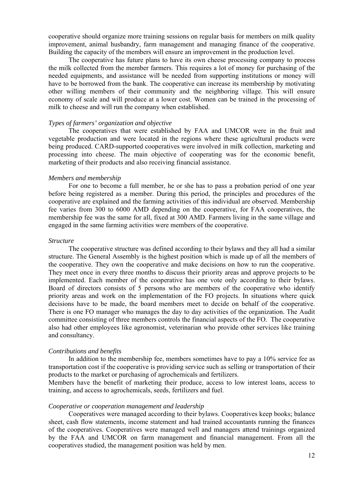cooperative should organize more training sessions on regular basis for members on milk quality improvement, animal husbandry, farm management and managing finance of the cooperative. Building the capacity of the members will ensure an improvement in the production level.

The cooperative has future plans to have its own cheese processing company to process the milk collected from the member farmers. This requires a lot of money for purchasing of the needed equipments, and assistance will be needed from supporting institutions or money will have to be borrowed from the bank. The cooperative can increase its membership by motivating other willing members of their community and the neighboring village. This will ensure economy of scale and will produce at a lower cost. Women can be trained in the processing of milk to cheese and will run the company when established.

#### *Types of farmers' organization and objective*

The cooperatives that were established by FAA and UMCOR were in the fruit and vegetable production and were located in the regions where these agricultural products were being produced. CARD-supported cooperatives were involved in milk collection, marketing and processing into cheese. The main objective of cooperating was for the economic benefit, marketing of their products and also receiving financial assistance.

#### *Members and membership*

For one to become a full member, he or she has to pass a probation period of one year before being registered as a member. During this period, the principles and procedures of the cooperative are explained and the farming activities of this individual are observed. Membership fee varies from 300 to 6000 AMD depending on the cooperative, for FAA cooperatives, the membership fee was the same for all, fixed at 300 AMD. Farmers living in the same village and engaged in the same farming activities were members of the cooperative.

#### *Structure*

The cooperative structure was defined according to their bylaws and they all had a similar structure. The General Assembly is the highest position which is made up of all the members of the cooperative. They own the cooperative and make decisions on how to run the cooperative. They meet once in every three months to discuss their priority areas and approve projects to be implemented. Each member of the cooperative has one vote only according to their bylaws. Board of directors consists of 5 persons who are members of the cooperative who identify priority areas and work on the implementation of the FO projects. In situations where quick decisions have to be made, the board members meet to decide on behalf of the cooperative. There is one FO manager who manages the day to day activities of the organization. The Audit committee consisting of three members controls the financial aspects of the FO. The cooperative also had other employees like agronomist, veterinarian who provide other services like training and consultancy.

#### *Contributions and benefits*

In addition to the membership fee, members sometimes have to pay a 10% service fee as transportation cost if the cooperative is providing service such as selling or transportation of their products to the market or purchasing of agrochemicals and fertilizers.

Members have the benefit of marketing their produce, access to low interest loans, access to training, and access to agrochemicals, seeds, fertilizers and fuel.

#### *Cooperative or cooperation management and leadership*

Cooperatives were managed according to their bylaws. Cooperatives keep books; balance sheet, cash flow statements, income statement and had trained accountants running the finances of the cooperatives. Cooperatives were managed well and managers attend trainings organized by the FAA and UMCOR on farm management and financial management. From all the cooperatives studied, the management position was held by men.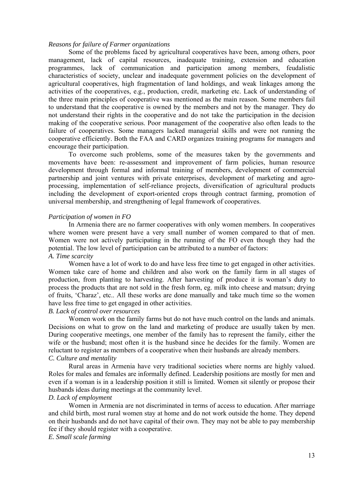#### *Reasons for failure of Farmer organizations*

Some of the problems faced by agricultural cooperatives have been, among others, poor management, lack of capital resources, inadequate training, extension and education programmes, lack of communication and participation among members, feudalistic characteristics of society, unclear and inadequate government policies on the development of agricultural cooperatives, high fragmentation of land holdings, and weak linkages among the activities of the cooperatives, e.g., production, credit, marketing etc. Lack of understanding of the three main principles of cooperative was mentioned as the main reason. Some members fail to understand that the cooperative is owned by the members and not by the manager. They do not understand their rights in the cooperative and do not take the participation in the decision making of the cooperative serious. Poor management of the cooperative also often leads to the failure of cooperatives. Some managers lacked managerial skills and were not running the cooperative efficiently. Both the FAA and CARD organizes training programs for managers and encourage their participation.

To overcome such problems, some of the measures taken by the governments and movements have been: re-assessment and improvement of farm policies, human resource development through formal and informal training of members, development of commercial partnership and joint ventures with private enterprises, development of marketing and agroprocessing, implementation of self-reliance projects, diversification of agricultural products including the development of export-oriented crops through contract farming, promotion of universal membership, and strengthening of legal framework of cooperatives.

#### *Participation of women in FO*

In Armenia there are no farmer cooperatives with only women members. In cooperatives where women were present have a very small number of women compared to that of men. Women were not actively participating in the running of the FO even though they had the potential. The low level of participation can be attributed to a number of factors: *A. Time scarcity* 

Women have a lot of work to do and have less free time to get engaged in other activities. Women take care of home and children and also work on the family farm in all stages of production, from planting to harvesting. After harvesting of produce it is woman's duty to process the products that are not sold in the fresh form, eg. milk into cheese and matsun; drying of fruits, 'Charaz', etc.. All these works are done manually and take much time so the women have less free time to get engaged in other activities.

### *B. Lack of control over resources*

Women work on the family farms but do not have much control on the lands and animals. Decisions on what to grow on the land and marketing of produce are usually taken by men. During cooperative meetings, one member of the family has to represent the family, either the wife or the husband; most often it is the husband since he decides for the family. Women are reluctant to register as members of a cooperative when their husbands are already members. *C. Culture and mentality* 

Rural areas in Armenia have very traditional societies where norms are highly valued. Roles for males and females are informally defined. Leadership positions are mostly for men and even if a woman is in a leadership position it still is limited. Women sit silently or propose their husbands ideas during meetings at the community level.

#### *D. Lack of employment*

Women in Armenia are not discriminated in terms of access to education. After marriage and child birth, most rural women stay at home and do not work outside the home. They depend on their husbands and do not have capital of their own. They may not be able to pay membership fee if they should register with a cooperative.

*E. Small scale farming*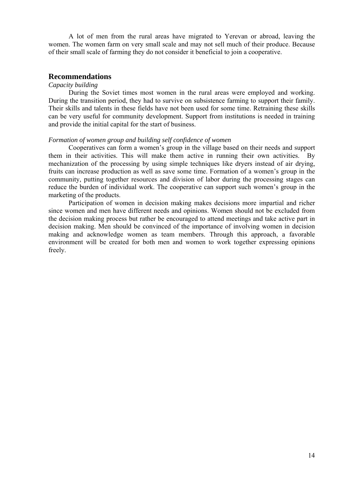A lot of men from the rural areas have migrated to Yerevan or abroad, leaving the women. The women farm on very small scale and may not sell much of their produce. Because of their small scale of farming they do not consider it beneficial to join a cooperative.

## **Recommendations**

#### *Capacity building*

During the Soviet times most women in the rural areas were employed and working. During the transition period, they had to survive on subsistence farming to support their family. Their skills and talents in these fields have not been used for some time. Retraining these skills can be very useful for community development. Support from institutions is needed in training and provide the initial capital for the start of business.

#### *Formation of women group and building self confidence of women*

Cooperatives can form a women's group in the village based on their needs and support them in their activities. This will make them active in running their own activities. By mechanization of the processing by using simple techniques like dryers instead of air drying, fruits can increase production as well as save some time. Formation of a women's group in the community, putting together resources and division of labor during the processing stages can reduce the burden of individual work. The cooperative can support such women's group in the marketing of the products.

Participation of women in decision making makes decisions more impartial and richer since women and men have different needs and opinions. Women should not be excluded from the decision making process but rather be encouraged to attend meetings and take active part in decision making. Men should be convinced of the importance of involving women in decision making and acknowledge women as team members. Through this approach, a favorable environment will be created for both men and women to work together expressing opinions freely.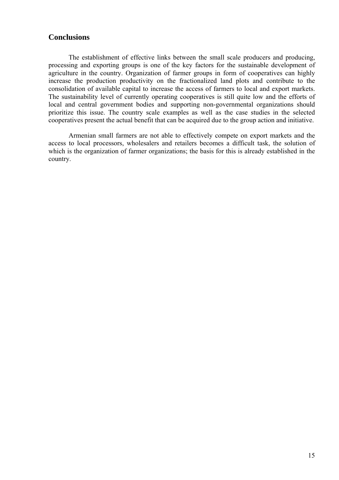## **Conclusions**

The establishment of effective links between the small scale producers and producing, processing and exporting groups is one of the key factors for the sustainable development of agriculture in the country. Organization of farmer groups in form of cooperatives can highly increase the production productivity on the fractionalized land plots and contribute to the consolidation of available capital to increase the access of farmers to local and export markets. The sustainability level of currently operating cooperatives is still quite low and the efforts of local and central government bodies and supporting non-governmental organizations should prioritize this issue. The country scale examples as well as the case studies in the selected cooperatives present the actual benefit that can be acquired due to the group action and initiative.

Armenian small farmers are not able to effectively compete on export markets and the access to local processors, wholesalers and retailers becomes a difficult task, the solution of which is the organization of farmer organizations; the basis for this is already established in the country.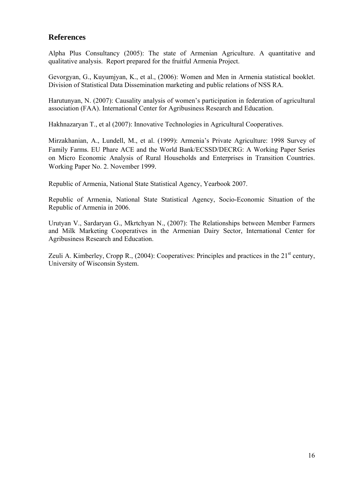# **References**

Alpha Plus Consultancy (2005): The state of Armenian Agriculture. A quantitative and qualitative analysis. Report prepared for the fruitful Armenia Project.

Gevorgyan, G., Kuyumjyan, K., et al., (2006): Women and Men in Armenia statistical booklet. Division of Statistical Data Dissemination marketing and public relations of NSS RA.

Harutunyan, N. (2007): Causality analysis of women's participation in federation of agricultural association (FAA). International Center for Agribusiness Research and Education.

Hakhnazaryan T., et al (2007): Innovative Technologies in Agricultural Cooperatives.

Mirzakhanian, A., Lundell, M., et al. (1999): Armenia's Private Agriculture: 1998 Survey of Family Farms. EU Phare ACE and the World Bank/ECSSD/DECRG: A Working Paper Series on Micro Economic Analysis of Rural Households and Enterprises in Transition Countries. Working Paper No. 2. November 1999.

Republic of Armenia, National State Statistical Agency, Yearbook 2007.

Republic of Armenia, National State Statistical Agency, Socio-Economic Situation of the Republic of Armenia in 2006.

Urutyan V., Sardaryan G., Mkrtchyan N., (2007): The Relationships between Member Farmers and Milk Marketing Cooperatives in the Armenian Dairy Sector, International Center for Agribusiness Research and Education.

Zeuli A. Kimberley, Cropp R.,  $(2004)$ : Cooperatives: Principles and practices in the  $21<sup>st</sup>$  century, University of Wisconsin System.